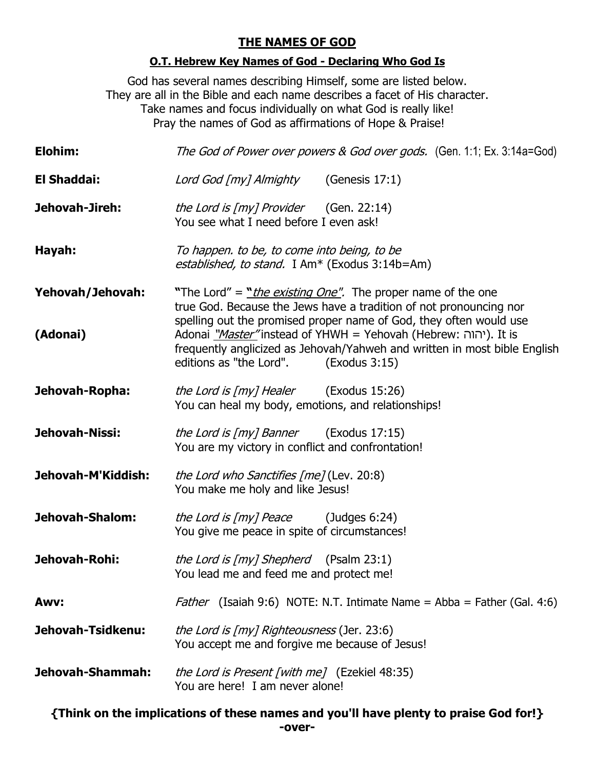## **THE NAMES OF GOD**

## **O.T. Hebrew Key Names of God - Declaring Who God Is**

God has several names describing Himself, some are listed below. They are all in the Bible and each name describes a facet of His character. Take names and focus individually on what God is really like! Pray the names of God as affirmations of Hope & Praise!

| Elohim:                      | The God of Power over powers & God over gods. (Gen. 1:1; Ex. 3:14a=God)                                                                                                                                                                                                                                                                                                                                              |
|------------------------------|----------------------------------------------------------------------------------------------------------------------------------------------------------------------------------------------------------------------------------------------------------------------------------------------------------------------------------------------------------------------------------------------------------------------|
| <b>El Shaddai:</b>           | Lord God [my] Almighty (Genesis 17:1)                                                                                                                                                                                                                                                                                                                                                                                |
| Jehovah-Jireh:               | the Lord is $[my]$ Provider (Gen. 22:14)<br>You see what I need before I even ask!                                                                                                                                                                                                                                                                                                                                   |
| Hayah:                       | To happen. to be, to come into being, to be<br>established, to stand. I Am <sup>*</sup> (Exodus 3:14b=Am)                                                                                                                                                                                                                                                                                                            |
| Yehovah/Jehovah:<br>(Adonai) | "The Lord" = " <i>the existing One"</i> . The proper name of the one<br>true God. Because the Jews have a tradition of not pronouncing nor<br>spelling out the promised proper name of God, they often would use<br>Adonai " <i>Master</i> "instead of YHWH = Yehovah (Hebrew: יהוה). It is<br>frequently anglicized as Jehovah/Yahweh and written in most bible English<br>editions as "the Lord".<br>(Exodus 3:15) |
| Jehovah-Ropha:               | <i>the Lord is [my] Healer</i> (Exodus 15:26)<br>You can heal my body, emotions, and relationships!                                                                                                                                                                                                                                                                                                                  |
| Jehovah-Nissi:               | <i>the Lord is [my] Banner</i> (Exodus 17:15)<br>You are my victory in conflict and confrontation!                                                                                                                                                                                                                                                                                                                   |
| Jehovah-M'Kiddish:           | <i>the Lord who Sanctifies [me]</i> (Lev. 20:8)<br>You make me holy and like Jesus!                                                                                                                                                                                                                                                                                                                                  |
| Jehovah-Shalom:              | <i>the Lord is [my] Peace</i> (Judges 6:24)<br>You give me peace in spite of circumstances!                                                                                                                                                                                                                                                                                                                          |
| Jehovah-Rohi:                | <i>the Lord is [my] Shepherd</i> (Psalm 23:1)<br>You lead me and feed me and protect me!                                                                                                                                                                                                                                                                                                                             |
| Awv:                         | <i>Father</i> (Isaiah 9:6) NOTE: N.T. Intimate Name = Abba = Father (Gal. 4:6)                                                                                                                                                                                                                                                                                                                                       |
| Jehovah-Tsidkenu:            | <i>the Lord is [my] Righteousness</i> (Jer. 23:6)<br>You accept me and forgive me because of Jesus!                                                                                                                                                                                                                                                                                                                  |
| Jehovah-Shammah:             | <i>the Lord is Present [with me]</i> (Ezekiel 48:35)<br>You are here! I am never alone!                                                                                                                                                                                                                                                                                                                              |

**{Think on the implications of these names and you'll have plenty to praise God for!} -over-**